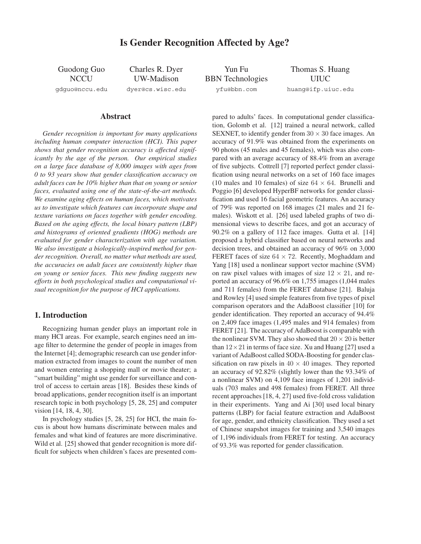Guodong Guo **NCCU** gdguo@nccu.edu

Charles R. Dyer UW-Madison dyer@cs.wisc.edu

Yun Fu BBN Technologies yfu@bbn.com

Thomas S. Huang UIUC huang@ifp.uiuc.edu

## **Abstract**

*Gender recognition is important for many applications including human computer interaction (HCI). This paper shows that gender recognition accuracy is affected significantly by the age of the person. Our empirical studies on a large face database of 8,000 images with ages from 0 to 93 years show that gender classification accuracy on adult faces can be 10% higher than that on young or senior faces, evaluated using one of the state-of-the-art methods. We examine aging effects on human faces, which motivates us to investigate which features can incorporate shape and texture variations on faces together with gender encoding. Based on the aging effects, the local binary pattern (LBP) and histograms of oriented gradients (HOG) methods are evaluated for gender characterization with age variation. We also investigate a biologically-inspired method for gender recognition. Overall, no matter what methods are used, the accuracies on adult faces are consistently higher than on young or senior faces. This new finding suggests new efforts in both psychological studies and computational visual recognition for the purpose of HCI applications.*

## **1. Introduction**

Recognizing human gender plays an important role in many HCI areas. For example, search engines need an image filter to determine the gender of people in images from the Internet [4]; demographic research can use gender information extracted from images to count the number of men and women entering a shopping mall or movie theater; a "smart building" might use gender for surveillance and control of access to certain areas [18]. Besides these kinds of broad applications, gender recognition itself is an important research topic in both psychology [5, 28, 25] and computer vision [14, 18, 4, 30].

In psychology studies [5, 28, 25] for HCI, the main focus is about how humans discriminate between males and females and what kind of features are more discriminative. Wild et al. [25] showed that gender recognition is more difficult for subjects when children's faces are presented compared to adults' faces. In computational gender classification, Golomb et al. [12] trained a neural network, called SEXNET, to identify gender from  $30 \times 30$  face images. An accuracy of 91.9% was obtained from the experiments on 90 photos (45 males and 45 females), which was also compared with an average accuracy of 88.4% from an average of five subjects. Cottrell [7] reported perfect gender classification using neural networks on a set of 160 face images (10 males and 10 females) of size 64 *×* 64. Brunelli and Poggio [6] developed HyperBF networks for gender classification and used 16 facial geometric features. An accuracy of 79% was reported on 168 images (21 males and 21 females). Wiskott et al. [26] used labeled graphs of two dimensional views to describe faces, and got an accuracy of 90.2% on a gallery of 112 face images. Gutta et al. [14] proposed a hybrid classifier based on neural networks and decision trees, and obtained an accuracy of 96% on 3,000 FERET faces of size  $64 \times 72$ . Recently, Moghaddam and Yang [18] used a nonlinear support vector machine (SVM) on raw pixel values with images of size  $12 \times 21$ , and reported an accuracy of 96.6% on 1,755 images (1,044 males and 711 females) from the FERET database [21]. Baluja and Rowley [4] used simple features from five types of pixel comparison operators and the AdaBoost classifier [10] for gender identification. They reported an accuracy of 94.4% on 2,409 face images (1,495 males and 914 females) from FERET [21]. The accuracy of AdaBoost is comparable with the nonlinear SVM. They also showed that  $20 \times 20$  is better than  $12 \times 21$  in terms of face size. Xu and Huang [27] used a variant of AdaBoost called SODA-Boosting for gender classification on raw pixels in  $40 \times 40$  images. They reported an accuracy of 92.82% (slightly lower than the 93.34% of a nonlinear SVM) on 4,109 face images of 1,201 individuals (703 males and 498 females) from FERET. All three recent approaches [18, 4, 27] used five-fold cross validation in their experiments. Yang and Ai [30] used local binary patterns (LBP) for facial feature extraction and AdaBoost for age, gender, and ethnicity classification. They used a set of Chinese snapshot images for training and 3,540 images of 1,196 individuals from FERET for testing. An accuracy of 93.3% was reported for gender classification.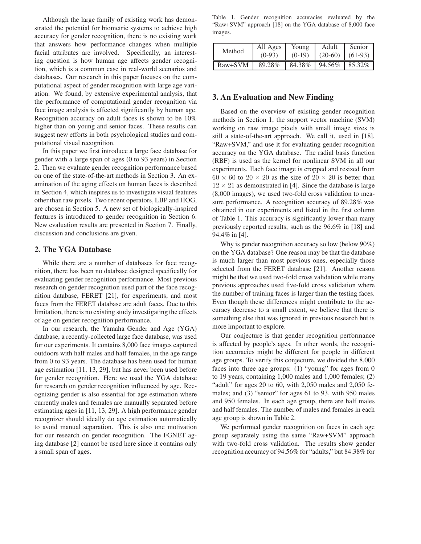Although the large family of existing work has demonstrated the potential for biometric systems to achieve high accuracy for gender recognition, there is no existing work that answers how performance changes when multiple facial attributes are involved. Specifically, an interesting question is how human age affects gender recognition, which is a common case in real-world scenarios and databases. Our research in this paper focuses on the computational aspect of gender recognition with large age variation. We found, by extensive experimental analysis, that the performance of computational gender recognition via face image analysis is affected significantly by human age. Recognition accuracy on adult faces is shown to be 10% higher than on young and senior faces. These results can suggest new efforts in both psychological studies and computational visual recognition.

In this paper we first introduce a large face database for gender with a large span of ages (0 to 93 years) in Section 2. Then we evaluate gender recognition performance based on one of the state-of-the-art methods in Section 3. An examination of the aging effects on human faces is described in Section 4, which inspires us to investigate visual features other than raw pixels. Two recent operators, LBP and HOG, are chosen in Section 5. A new set of biologically-inspired features is introduced to gender recognition in Section 6. New evaluation results are presented in Section 7. Finally, discussion and conclusions are given.

# **2. The YGA Database**

While there are a number of databases for face recognition, there has been no database designed specifically for evaluating gender recognition performance. Most previous research on gender recognition used part of the face recognition database, FERET [21], for experiments, and most faces from the FERET database are adult faces. Due to this limitation, there is no existing study investigating the effects of age on gender recognition performance.

In our research, the Yamaha Gender and Age (YGA) database, a recently-collected large face database, was used for our experiments. It contains 8,000 face images captured outdoors with half males and half females, in the age range from 0 to 93 years. The database has been used for human age estimation [11, 13, 29], but has never been used before for gender recognition. Here we used the YGA database for research on gender recognition influenced by age. Recognizing gender is also essential for age estimation where currently males and females are manually separated before estimating ages in [11, 13, 29]. A high performance gender recognizer should ideally do age estimation automatically to avoid manual separation. This is also one motivation for our research on gender recognition. The FGNET aging database [2] cannot be used here since it contains only a small span of ages.

Table 1. Gender recognition accuracies evaluated by the "Raw+SVM" approach [18] on the YGA database of 8,000 face images.

| Method  | All Ages | Young    | Adult     | Senior    |
|---------|----------|----------|-----------|-----------|
|         | $(0-93)$ | $(0-19)$ | $(20-60)$ | $(61-93)$ |
| Raw+SVM | 89.28%   | 84.38%   | 94.56%    | 85.32%    |

## **3. An Evaluation and New Finding**

Based on the overview of existing gender recognition methods in Section 1, the support vector machine (SVM) working on raw image pixels with small image sizes is still a state-of-the-art approach. We call it, used in [18], "Raw+SVM," and use it for evaluating gender recognition accuracy on the YGA database. The radial basis function (RBF) is used as the kernel for nonlinear SVM in all our experiments. Each face image is cropped and resized from  $60 \times 60$  to  $20 \times 20$  as the size of  $20 \times 20$  is better than  $12 \times 21$  as demonstrated in [4]. Since the database is large (8,000 images), we used two-fold cross validation to measure performance. A recognition accuracy of 89.28% was obtained in our experiments and listed in the first column of Table 1. This accuracy is significantly lower than many previously reported results, such as the 96.6% in [18] and 94.4% in [4].

Why is gender recognition accuracy so low (below 90%) on the YGA database? One reason may be that the database is much larger than most previous ones, especially those selected from the FERET database [21]. Another reason might be that we used two-fold cross validation while many previous approaches used five-fold cross validation where the number of training faces is larger than the testing faces. Even though these differences might contribute to the accuracy decrease to a small extent, we believe that there is something else that was ignored in previous research but is more important to explore.

Our conjecture is that gender recognition performance is affected by people's ages. In other words, the recognition accuracies might be different for people in different age groups. To verify this conjecture, we divided the 8,000 faces into three age groups: (1) "young" for ages from 0 to 19 years, containing 1,000 males and 1,000 females; (2) "adult" for ages  $20$  to  $60$ , with  $2,050$  males and  $2,050$  females; and (3) "senior" for ages 61 to 93, with 950 males and 950 females. In each age group, there are half males and half females. The number of males and females in each age group is shown in Table 2.

We performed gender recognition on faces in each age group separately using the same "Raw+SVM" approach with two-fold cross validation. The results show gender recognition accuracy of 94.56% for "adults," but 84.38% for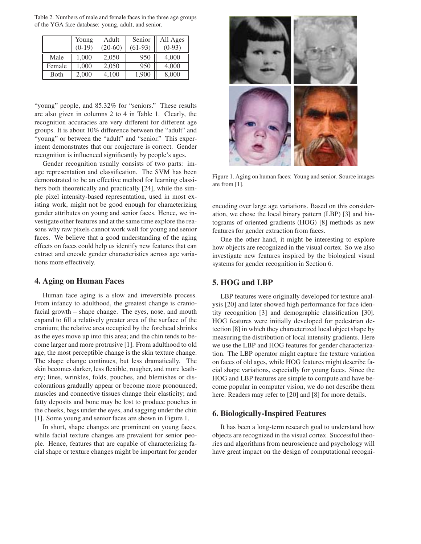|        | Young    | Adult     | Senior    | All Ages |
|--------|----------|-----------|-----------|----------|
|        | $(0-19)$ | $(20-60)$ | $(61-93)$ | $(0-93)$ |
| Male   | 1,000    | 2.050     | 950       | 4,000    |
| Female | 1,000    | 2,050     | 950       | 4,000    |
| Both   | 2,000    | 4,100     | 1.900     | 8,000    |

Table 2. Numbers of male and female faces in the three age groups of the YGA face database: young, adult, and senior.

"young" people, and 85.32% for "seniors." These results are also given in columns 2 to 4 in Table 1. Clearly, the recognition accuracies are very different for different age groups. It is about 10% difference between the "adult" and "young" or between the "adult" and "senior." This experiment demonstrates that our conjecture is correct. Gender recognition is influenced significantly by people's ages.

Gender recognition usually consists of two parts: image representation and classification. The SVM has been demonstrated to be an effective method for learning classifiers both theoretically and practically [24], while the simple pixel intensity-based representation, used in most existing work, might not be good enough for characterizing gender attributes on young and senior faces. Hence, we investigate other features and at the same time explore the reasons why raw pixels cannot work well for young and senior faces. We believe that a good understanding of the aging effects on faces could help us identify new features that can extract and encode gender characteristics across age variations more effectively.

## **4. Aging on Human Faces**

Human face aging is a slow and irreversible process. From infancy to adulthood, the greatest change is craniofacial growth – shape change. The eyes, nose, and mouth expand to fill a relatively greater area of the surface of the cranium; the relative area occupied by the forehead shrinks as the eyes move up into this area; and the chin tends to become larger and more protrusive [1]. From adulthood to old age, the most perceptible change is the skin texture change. The shape change continues, but less dramatically. The skin becomes darker, less flexible, rougher, and more leathery; lines, wrinkles, folds, pouches, and blemishes or discolorations gradually appear or become more pronounced; muscles and connective tissues change their elasticity; and fatty deposits and bone may be lost to produce pouches in the cheeks, bags under the eyes, and sagging under the chin [1]. Some young and senior faces are shown in Figure 1.

In short, shape changes are prominent on young faces, while facial texture changes are prevalent for senior people. Hence, features that are capable of characterizing facial shape or texture changes might be important for gender



Figure 1. Aging on human faces: Young and senior. Source images are from [1].

encoding over large age variations. Based on this consideration, we chose the local binary pattern (LBP) [3] and histograms of oriented gradients (HOG) [8] methods as new features for gender extraction from faces.

One the other hand, it might be interesting to explore how objects are recognized in the visual cortex. So we also investigate new features inspired by the biological visual systems for gender recognition in Section 6.

# **5. HOG and LBP**

LBP features were originally developed for texture analysis [20] and later showed high performance for face identity recognition [3] and demographic classification [30]. HOG features were initially developed for pedestrian detection [8] in which they characterized local object shape by measuring the distribution of local intensity gradients. Here we use the LBP and HOG features for gender characterization. The LBP operator might capture the texture variation on faces of old ages, while HOG features might describe facial shape variations, especially for young faces. Since the HOG and LBP features are simple to compute and have become popular in computer vision, we do not describe them here. Readers may refer to [20] and [8] for more details.

# **6. Biologically-Inspired Features**

It has been a long-term research goal to understand how objects are recognized in the visual cortex. Successful theories and algorithms from neuroscience and psychology will have great impact on the design of computational recogni-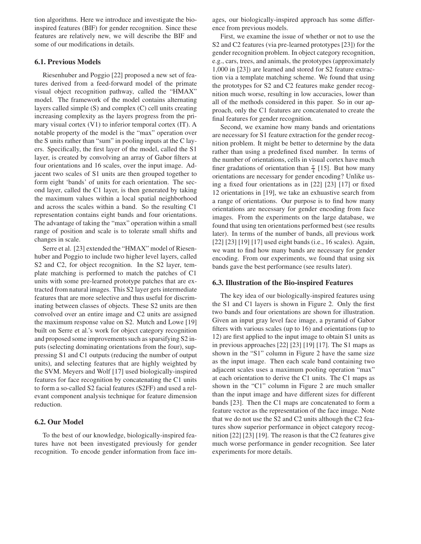tion algorithms. Here we introduce and investigate the bioinspired features (BIF) for gender recognition. Since these features are relatively new, we will describe the BIF and some of our modifications in details.

#### **6.1. Previous Models**

Riesenhuber and Poggio [22] proposed a new set of features derived from a feed-forward model of the primate visual object recognition pathway, called the "HMAX" model. The framework of the model contains alternating layers called simple (S) and complex (C) cell units creating increasing complexity as the layers progress from the primary visual cortex (V1) to inferior temporal cortex (IT). A notable property of the model is the "max" operation over the S units rather than "sum" in pooling inputs at the C layers. Specifically, the first layer of the model, called the S1 layer, is created by convolving an array of Gabor filters at four orientations and 16 scales, over the input image. Adjacent two scales of S1 units are then grouped together to form eight 'bands' of units for each orientation. The second layer, called the C1 layer, is then generated by taking the maximum values within a local spatial neighborhood and across the scales within a band. So the resulting C1 representation contains eight bands and four orientations. The advantage of taking the "max" operation within a small range of position and scale is to tolerate small shifts and changes in scale.

Serre et al. [23] extended the "HMAX" model of Riesenhuber and Poggio to include two higher level layers, called S2 and C2, for object recognition. In the S2 layer, template matching is performed to match the patches of C1 units with some pre-learned prototype patches that are extracted from natural images. This S2 layer gets intermediate features that are more selective and thus useful for discriminating between classes of objects. These S2 units are then convolved over an entire image and C2 units are assigned the maximum response value on S2. Mutch and Lowe [19] built on Serre et al.'s work for object category recognition and proposed some improvements such as sparsifying S2 inputs (selecting dominating orientations from the four), suppressing S1 and C1 outputs (reducing the number of output units), and selecting features that are highly weighted by the SVM. Meyers and Wolf [17] used biologically-inspired features for face recognition by concatenating the C1 units to form a so-called S2 facial features (S2FF) and used a relevant component analysis technique for feature dimension reduction.

#### **6.2. Our Model**

To the best of our knowledge, biologically-inspired features have not been investigated previously for gender recognition. To encode gender information from face images, our biologically-inspired approach has some difference from previous models.

First, we examine the issue of whether or not to use the S2 and C2 features (via pre-learned prototypes [23]) for the gender recognition problem. In object category recognition, e.g., cars, trees, and animals, the prototypes (approximately 1,000 in [23]) are learned and stored for S2 feature extraction via a template matching scheme. We found that using the prototypes for S2 and C2 features make gender recognition much worse, resulting in low accuracies, lower than all of the methods considered in this paper. So in our approach, only the C1 features are concatenated to create the final features for gender recognition.

Second, we examine how many bands and orientations are necessary for S1 feature extraction for the gender recognition problem. It might be better to determine by the data rather than using a predefined fixed number. In terms of the number of orientations, cells in visual cortex have much finer gradations of orientation than  $\frac{\pi}{4}$  [15]. But how many orientations are necessary for gender encoding? Unlike using a fixed four orientations as in [22] [23] [17] or fixed 12 orientations in [19], we take an exhuastive search from a range of orientations. Our purpose is to find how many orientations are necessary for gender encoding from face images. From the experiments on the large database, we found that using ten orientations performed best (see results later). In terms of the number of bands, all previous work [22] [23] [19] [17] used eight bands (i.e., 16 scales). Again, we want to find how many bands are necessary for gender encoding. From our experiments, we found that using six bands gave the best performance (see results later).

## **6.3. Illustration of the Bio-inspired Features**

The key idea of our biologically-inspired features using the S1 and C1 layers is shown in Figure 2. Only the first two bands and four orientations are shown for illustration. Given an input gray level face image, a pyramid of Gabor filters with various scales (up to 16) and orientations (up to 12) are first applied to the input image to obtain S1 units as in previous approaches [22] [23] [19] [17]. The S1 maps as shown in the "S1" column in Figure 2 have the same size as the input image. Then each scale band containing two adjacent scales uses a maximum pooling operation "max" at each orientation to derive the C1 units. The C1 maps as shown in the "C1" column in Figure 2 are much smaller than the input image and have different sizes for different bands [23]. Then the C1 maps are concatenated to form a feature vector as the representation of the face image. Note that we do not use the S2 and C2 units although the C2 features show superior performance in object category recognition [22] [23] [19]. The reason is that the C2 features give much worse performance in gender recognition. See later experiments for more details.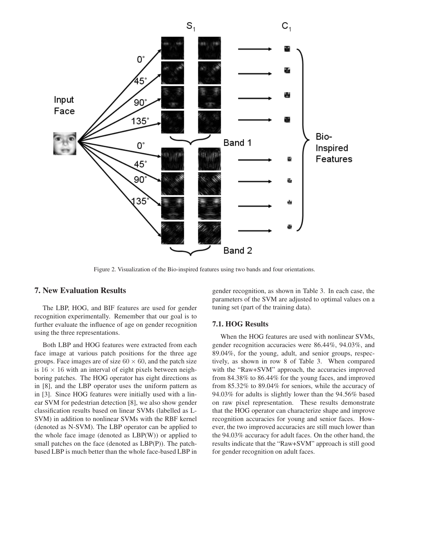

Figure 2. Visualization of the Bio-inspired features using two bands and four orientations.

# **7. New Evaluation Results**

The LBP, HOG, and BIF features are used for gender recognition experimentally. Remember that our goal is to further evaluate the influence of age on gender recognition using the three representations.

Both LBP and HOG features were extracted from each face image at various patch positions for the three age groups. Face images are of size  $60 \times 60$ , and the patch size is  $16 \times 16$  with an interval of eight pixels between neighboring patches. The HOG operator has eight directions as in [8], and the LBP operator uses the uniform pattern as in [3]. Since HOG features were initially used with a linear SVM for pedestrian detection [8], we also show gender classification results based on linear SVMs (labelled as L-SVM) in addition to nonlinear SVMs with the RBF kernel (denoted as N-SVM). The LBP operator can be applied to the whole face image (denoted as LBP(W)) or applied to small patches on the face (denoted as  $LBP(P)$ ). The patchbased LBP is much better than the whole face-based LBP in

gender recognition, as shown in Table 3. In each case, the parameters of the SVM are adjusted to optimal values on a tuning set (part of the training data).

#### **7.1. HOG Results**

When the HOG features are used with nonlinear SVMs, gender recognition accuracies were 86.44%, 94.03%, and 89.04%, for the young, adult, and senior groups, respectively, as shown in row 8 of Table 3. When compared with the "Raw+SVM" approach, the accuracies improved from 84.38% to 86.44% for the young faces, and improved from 85.32% to 89.04% for seniors, while the accuracy of 94.03% for adults is slightly lower than the 94.56% based on raw pixel representation. These results demonstrate that the HOG operator can characterize shape and improve recognition accuracies for young and senior faces. However, the two improved accuracies are still much lower than the 94.03% accuracy for adult faces. On the other hand, the results indicate that the "Raw+SVM" approach is still good for gender recognition on adult faces.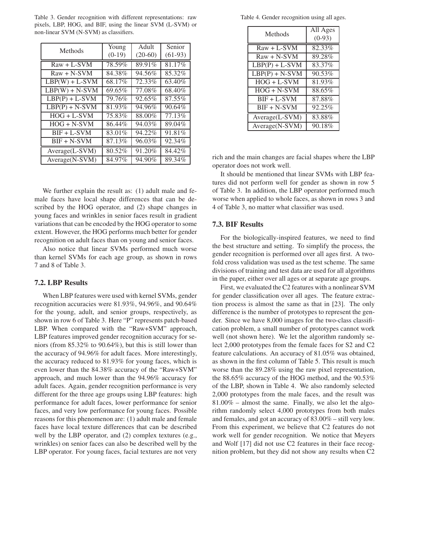| Methods          | Young     | Adult     | Senior    |
|------------------|-----------|-----------|-----------|
|                  | $(0-19)$  | $(20-60)$ | $(61-93)$ |
| $Raw + L-SVM$    | $78.59\%$ | 89.91%    | 81.17%    |
| $Raw + N-SVM$    | 84.38%    | 94.56%    | 85.32%    |
| $LBP(W) + L-SVM$ | 68.17%    | 72.33%    | 63.40%    |
| $LBP(W) + N-SVM$ | 69.65%    | 77.08%    | 68.40%    |
| $LBP(P) + L-SVM$ | 79.76%    | 92.65%    | 87.55%    |
| $LBP(P) + N-SVM$ | 81.93%    | 94.96%    | 90.64%    |
| $HOG + L-SVM$    | 75.83%    | 88.00%    | 77.13%    |
| $HOG + N-SVM$    | 86.44%    | 94.03%    | 89.04%    |
| $BIF + L-SVM$    | 83.01%    | 94.22%    | 91.81%    |
| $BIF + N-SVM$    | 87.13%    | 96.03%    | 92.34%    |
| Average(L-SVM)   | 80.52%    | 91.20%    | 84.42%    |
| Average(N-SVM)   | 84.97%    | 94.90%    | 89.34%    |

Table 3. Gender recognition with different representations: raw pixels, LBP, HOG, and BIF, using the linear SVM (L-SVM) or non-linear SVM (N-SVM) as classifiers.

We further explain the result as: (1) adult male and female faces have local shape differences that can be described by the HOG operator, and (2) shape changes in young faces and wrinkles in senior faces result in gradient variations that can be encoded by the HOG operator to some extent. However, the HOG performs much better for gender recognition on adult faces than on young and senior faces.

Also notice that linear SVMs performed much worse than kernel SVMs for each age group, as shown in rows 7 and 8 of Table 3.

## **7.2. LBP Results**

When LBP features were used with kernel SVMs, gender recognition accuracies were 81.93%, 94.96%, and 90.64% for the young, adult, and senior groups, respectively, as shown in row 6 of Table 3. Here "P" represents patch-based LBP. When compared with the "Raw+SVM" approach, LBP features improved gender recognition accuracy for seniors (from 85.32% to 90.64%), but this is still lower than the accuracy of 94.96% for adult faces. More interestingly, the accuracy reduced to 81.93% for young faces, which is even lower than the 84.38% accuracy of the "Raw+SVM" approach, and much lower than the 94.96% accuracy for adult faces. Again, gender recognition performance is very different for the three age groups using LBP features: high performance for adult faces, lower performance for senior faces, and very low performance for young faces. Possible reasons for this phenomenon are: (1) adult male and female faces have local texture differences that can be described well by the LBP operator, and (2) complex textures (e.g., wrinkles) on senior faces can also be described well by the LBP operator. For young faces, facial textures are not very

Table 4. Gender recognition using all ages.

| Methods          | All Ages<br>$(0-93)$ |  |
|------------------|----------------------|--|
| $Raw + L-SVM$    | 82.33%               |  |
| $Raw + N-SVM$    | 89.28%               |  |
| $LBP(P) + L-SVM$ | 83.37%               |  |
| $LBP(P) + N-SVM$ | 90.53%               |  |
| $HOG + L-SVM$    | 81.93%               |  |
| $HOG + N-SVM$    | 88.65%               |  |
| $BIF + L-SVM$    | 87.88%               |  |
| $BIF + N-SVM$    | 92.25%               |  |
| Average(L-SVM)   | 83.88%               |  |
| Average(N-SVM)   | 90.18%               |  |

rich and the main changes are facial shapes where the LBP operator does not work well.

It should be mentioned that linear SVMs with LBP features did not perform well for gender as shown in row 5 of Table 3. In addition, the LBP operator performed much worse when applied to whole faces, as shown in rows 3 and 4 of Table 3, no matter what classifier was used.

#### **7.3. BIF Results**

For the biologically-inspired features, we need to find the best structure and setting. To simplify the process, the gender recognition is performed over all ages first. A twofold cross validation was used as the test scheme. The same divisions of training and test data are used for all algorithms in the paper, either over all ages or at separate age groups.

First, we evaluated the C2 features with a nonlinear SVM for gender classification over all ages. The feature extraction process is almost the same as that in [23]. The only difference is the number of prototypes to represent the gender. Since we have 8,000 images for the two-class classification problem, a small number of prototypes cannot work well (not shown here). We let the algorithm randomly select 2,000 prototypes from the female faces for S2 and C2 feature calculations. An accuracy of 81.05% was obtained, as shown in the first column of Table 5. This result is much worse than the 89.28% using the raw pixel representation, the 88.65% accuracy of the HOG method, and the 90.53% of the LBP, shown in Table 4. We also randomly selected 2,000 prototypes from the male faces, and the result was 81.00% – almost the same. Finally, we also let the algorithm randomly select 4,000 prototypes from both males and females, and got an accuracy of 83.00% – still very low. From this experiment, we believe that C2 features do not work well for gender recognition. We notice that Meyers and Wolf [17] did not use C2 features in their face recognition problem, but they did not show any results when C2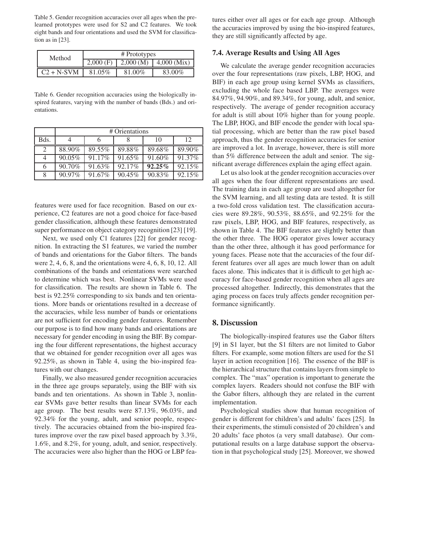Table 5. Gender recognition accuracies over all ages when the prelearned prototypes were used for S2 and C2 features. We took eight bands and four orientations and used the SVM for classification as in [23].

| Method       | # Prototypes |          |               |
|--------------|--------------|----------|---------------|
|              | $2,000$ (F)  | 2,000(M) | $4,000$ (Mix) |
| $C2 + N-SVM$ | 81.05%       | 81.00%   | 83.00%        |

Table 6. Gender recognition accuracies using the biologically inspired features, varying with the number of bands (Bds.) and orientations.

|                             | # Orientations |        |        |           |        |
|-----------------------------|----------------|--------|--------|-----------|--------|
| Bds.                        |                |        |        | 10        | 12     |
| $\mathcal{D}_{\mathcal{L}}$ | 88.90%         | 89.55% | 89.88% | 89.68%    | 89.90% |
|                             | $90.05\%$      | 91.17% | 91.65% | 91.60%    | 91.37% |
| 6                           | $90.70\%$      | 91.63% | 92.17% | $92.25\%$ | 92.15% |
| 8                           | $90.97\%$      | 91.67% | 90.45% | 90.83%    | 92.15% |

features were used for face recognition. Based on our experience, C2 features are not a good choice for face-based gender classification, although these features demonstrated super performance on object category recognition [23] [19].

Next, we used only C1 features [22] for gender recognition. In extracting the S1 features, we varied the number of bands and orientations for the Gabor filters. The bands were 2, 4, 6, 8, and the orientations were 4, 6, 8, 10, 12. All combinations of the bands and orientations were searched to determine which was best. Nonlinear SVMs were used for classification. The results are shown in Table 6. The best is 92.25% corresponding to six bands and ten orientations. More bands or orientations resulted in a decrease of the accuracies, while less number of bands or orientations are not sufficient for encoding gender features. Remember our purpose is to find how many bands and orientations are necessary for gender encoding in using the BIF. By comparing the four different representations, the highest accuracy that we obtained for gender recognition over all ages was 92.25%, as shown in Table 4, using the bio-inspired features with our changes.

Finally, we also measured gender recognition accuracies in the three age groups separately, using the BIF with six bands and ten orientations. As shown in Table 3, nonlinear SVMs gave better results than linear SVMs for each age group. The best results were 87.13%, 96.03%, and 92.34% for the young, adult, and senior people, respectively. The accuracies obtained from the bio-inspired features improve over the raw pixel based approach by 3.3%, 1.6%, and 8.2%, for young, adult, and senior, respectively. The accuracies were also higher than the HOG or LBP features either over all ages or for each age group. Although the accuracies improved by using the bio-inspired features, they are still significantly affected by age.

## **7.4. Average Results and Using All Ages**

We calculate the average gender recognition accuracies over the four representations (raw pixels, LBP, HOG, and BIF) in each age group using kernel SVMs as classifiers, excluding the whole face based LBP. The averages were 84.97%, 94.90%, and 89.34%, for young, adult, and senior, respectively. The average of gender recognition accuracy for adult is still about 10% higher than for young people. The LBP, HOG, and BIF encode the gender with local spatial processing, which are better than the raw pixel based approach, thus the gender recognition accuracies for senior are improved a lot. In average, however, there is still more than 5% difference between the adult and senior. The significant average differences explain the aging effect again.

Let us also look at the gender recognition accuracies over all ages when the four different representations are used. The training data in each age group are used altogether for the SVM learning, and all testing data are tested. It is still a two-fold cross validation test. The classification accuracies were 89.28%, 90.53%, 88.65%, and 92.25% for the raw pixels, LBP, HOG, and BIF features, respectively, as shown in Table 4. The BIF features are slightly better than the other three. The HOG operator gives lower accuracy than the other three, although it has good performance for young faces. Please note that the accuracies of the four different features over all ages are much lower than on adult faces alone. This indicates that it is difficult to get high accuracy for face-based gender recognition when all ages are processed altogether. Indirectly, this demonstrates that the aging process on faces truly affects gender recognition performance significantly.

# **8. Discussion**

The biologically-inspired features use the Gabor filters [9] in S1 layer, but the S1 filters are not limited to Gabor filters. For example, some motion filters are used for the S1 layer in action recognition [16]. The essence of the BIF is the hierarchical structure that contains layers from simple to complex. The "max" operation is important to generate the complex layers. Readers should not confuse the BIF with the Gabor filters, although they are related in the current implementation.

Psychological studies show that human recognition of gender is different for children's and adults' faces [25]. In their experiments, the stimuli consisted of 20 children's and 20 adults' face photos (a very small database). Our computational results on a large database support the observation in that psychological study [25]. Moreover, we showed